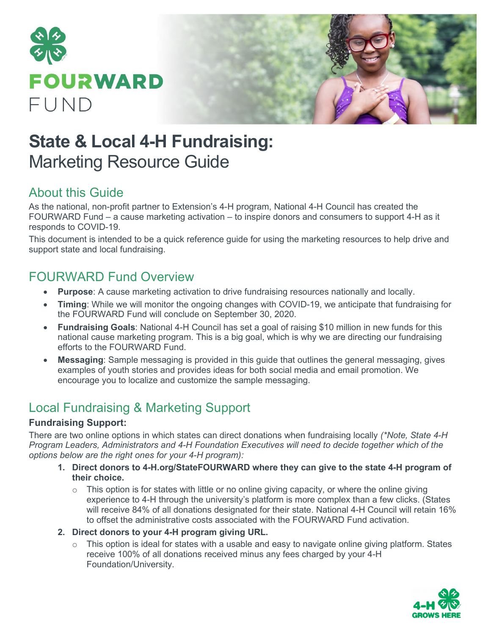

# **State & Local 4-H Fundraising:**  Marketing Resource Guide

### About this Guide

As the national, non-profit partner to Extension's 4-H program, National 4-H Council has created the FOURWARD Fund – a cause marketing activation – to inspire donors and consumers to support 4-H as it responds to COVID-19.

This document is intended to be a quick reference guide for using the marketing resources to help drive and support state and local fundraising.

## FOURWARD Fund Overview

- **Purpose**: A cause marketing activation to drive fundraising resources nationally and locally.
- **Timing**: While we will monitor the ongoing changes with COVID-19, we anticipate that fundraising for the FOURWARD Fund will conclude on September 30, 2020.
- **Fundraising Goals**: National 4-H Council has set a goal of raising \$10 million in new funds for this national cause marketing program. This is a big goal, which is why we are directing our fundraising efforts to the FOURWARD Fund.
- **Messaging**: Sample messaging is provided in this guide that outlines the general messaging, gives examples of youth stories and provides ideas for both social media and email promotion. We encourage you to localize and customize the sample messaging.

# Local Fundraising & Marketing Support

#### **Fundraising Support:**

There are two online options in which states can direct donations when fundraising locally *(\*Note, State 4-H Program Leaders, Administrators and 4-H Foundation Executives will need to decide together which of the options below are the right ones for your 4-H program):*

- **1. Direct donors to 4-H.org/StateFOURWARD where they can give to the state 4-H program of their choice.** 
	- $\circ$  This option is for states with little or no online giving capacity, or where the online giving experience to 4-H through the university's platform is more complex than a few clicks. (States will receive 84% of all donations designated for their state. National 4-H Council will retain 16% to offset the administrative costs associated with the FOURWARD Fund activation.
- **2. Direct donors to your 4-H program giving URL.** 
	- $\circ$  This option is ideal for states with a usable and easy to navigate online giving platform. States receive 100% of all donations received minus any fees charged by your 4-H Foundation/University.

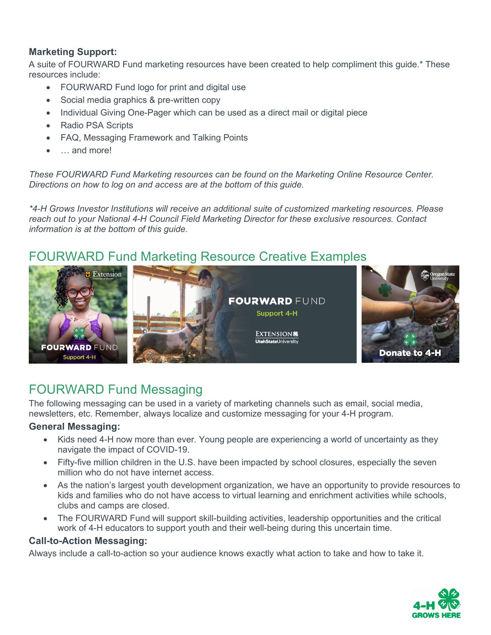#### **Marketing Support:**

A suite of FOURWARD Fund marketing resources have been created to help compliment this guide.\* These resources include:

- FOURWARD Fund logo for print and digital use
- Social media graphics & pre-written copy
- Individual Giving One-Pager which can be used as a direct mail or digital piece
- Radio PSA Scripts
- FAQ, Messaging Framework and Talking Points
- ... and more!

*These FOURWARD Fund Marketing resources can be found on the Marketing Online Resource Center. Directions on how to log on and access are at the bottom of this guide.* 

*\*4-H Grows Investor Institutions will receive an additional suite of customized marketing resources. Please reach out to your National 4-H Council Field Marketing Director for these exclusive resources. Contact information is at the bottom of this guide.* 

### FOURWARD Fund Marketing Resource Creative Examples



## FOURWARD Fund Messaging

The following messaging can be used in a variety of marketing channels such as email, social media, newsletters, etc. Remember, always localize and customize messaging for your 4-H program.

#### **General Messaging:**

- Kids need 4-H now more than ever. Young people are experiencing a world of uncertainty as they navigate the impact of COVID-19.
- Fifty-five million children in the U.S. have been impacted by school closures, especially the seven million who do not have internet access.
- As the nation's largest youth development organization, we have an opportunity to provide resources to kids and families who do not have access to virtual learning and enrichment activities while schools, clubs and camps are closed.
- The FOURWARD Fund will support skill-building activities, leadership opportunities and the critical work of 4-H educators to support youth and their well-being during this uncertain time.

#### **Call-to-Action Messaging:**

Always include a call-to-action so your audience knows exactly what action to take and how to take it.

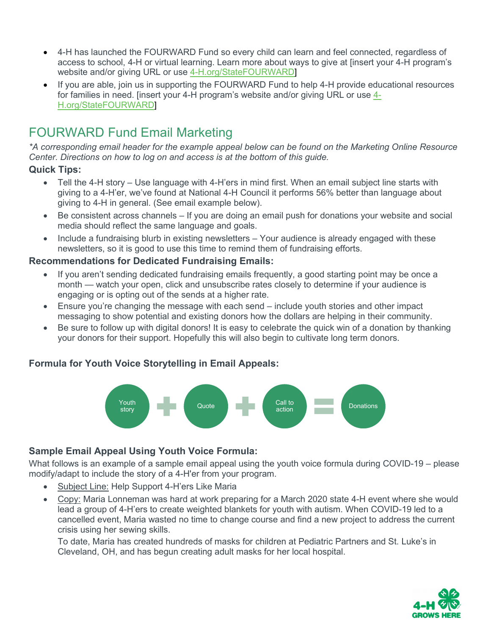- 4-H has launched the FOURWARD Fund so every child can learn and feel connected, regardless of access to school, 4-H or virtual learning. Learn more about ways to give at [insert your 4-H program's website and/or giving URL or use [4-H.org/StateFOURWARD\]](https://national4h.givenow.stratuslive.com/state-fourward?slca=0001206&slcag=0001206-1)
- If you are able, join us in supporting the FOURWARD Fund to help 4-H provide educational resources for families in need. [insert your 4-H program's website and/or giving URL or use [4-](https://national4h.givenow.stratuslive.com/state-fourward?slca=0001206&slcag=0001206-1) [H.org/StateFOURWARD\]](https://national4h.givenow.stratuslive.com/state-fourward?slca=0001206&slcag=0001206-1)

# FOURWARD Fund Email Marketing

*\*A corresponding email header for the example appeal below can be found on the Marketing Online Resource Center. Directions on how to log on and access is at the bottom of this guide.* 

#### **Quick Tips:**

- Tell the 4-H story Use language with 4-H'ers in mind first. When an email subject line starts with giving to a 4-H'er, we've found at National 4-H Council it performs 56% better than language about giving to 4-H in general. (See email example below).
- Be consistent across channels If you are doing an email push for donations your website and social media should reflect the same language and goals.
- Include a fundraising blurb in existing newsletters Your audience is already engaged with these newsletters, so it is good to use this time to remind them of fundraising efforts.

#### **Recommendations for Dedicated Fundraising Emails:**

- If you aren't sending dedicated fundraising emails frequently, a good starting point may be once a month — watch your open, click and unsubscribe rates closely to determine if your audience is engaging or is opting out of the sends at a higher rate.
- Ensure you're changing the message with each send include youth stories and other impact messaging to show potential and existing donors how the dollars are helping in their community.
- Be sure to follow up with digital donors! It is easy to celebrate the quick win of a donation by thanking your donors for their support. Hopefully this will also begin to cultivate long term donors.

#### **Formula for Youth Voice Storytelling in Email Appeals:**



#### **Sample Email Appeal Using Youth Voice Formula:**

What follows is an example of a sample email appeal using the youth voice formula during COVID-19 – please modify/adapt to include the story of a 4-H'er from your program.

- Subject Line: Help Support 4-H'ers Like Maria
- Copy: Maria Lonneman was hard at work preparing for a March 2020 state 4-H event where she would lead a group of 4-H'ers to create weighted blankets for youth with autism. When COVID-19 led to a cancelled event, Maria wasted no time to change course and find a new project to address the current crisis using her sewing skills.

To date, Maria has created hundreds of masks for children at Pediatric Partners and St. Luke's in Cleveland, OH, and has begun creating adult masks for her local hospital.

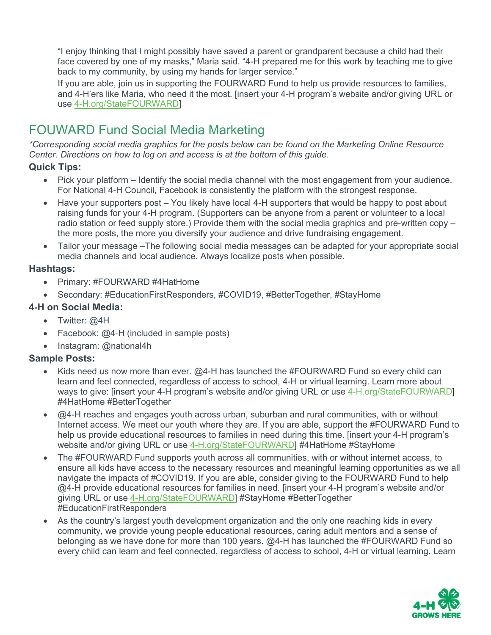"I enjoy thinking that I might possibly have saved a parent or grandparent because a child had their face covered by one of my masks," Maria said. "4-H prepared me for this work by teaching me to give back to my community, by using my hands for larger service."

If you are able, join us in supporting the FOURWARD Fund to help us provide resources to families, and 4-H'ers like Maria, who need it the most. [insert your 4-H program's website and/or giving URL or use [4-H.org/StateFOURWARD\]](https://national4h.givenow.stratuslive.com/state-fourward?slca=0001206&slcag=0001206-1)

# FOUWARD Fund Social Media Marketing

*\*Corresponding social media graphics for the posts below can be found on the Marketing Online Resource Center. Directions on how to log on and access is at the bottom of this guide.* 

#### **Quick Tips:**

- Pick your platform Identify the social media channel with the most engagement from your audience. For National 4-H Council, Facebook is consistently the platform with the strongest response.
- Have your supporters post You likely have local 4-H supporters that would be happy to post about raising funds for your 4-H program. (Supporters can be anyone from a parent or volunteer to a local radio station or feed supply store.) Provide them with the social media graphics and pre-written copy – the more posts, the more you diversify your audience and drive fundraising engagement.
- Tailor your message –The following social media messages can be adapted for your appropriate social media channels and local audience. Always localize posts when possible.

#### **Hashtags:**

- Primary: #FOURWARD #4HatHome
- Secondary: #EducationFirstResponders, #COVID19, #BetterTogether, #StayHome

#### **4**‑**H on Social Media:**

- Twitter: @4H
- Facebook: @4-H (included in sample posts)
- Instagram: @national4h

#### **Sample Posts:**

- Kids need us now more than ever. @4-H has launched the #FOURWARD Fund so every child can learn and feel connected, regardless of access to school, 4-H or virtual learning. Learn more about ways to give: [insert your 4-H program's website and/or giving URL or use [4-H.org/StateFOURWARD\]](https://national4h.givenow.stratuslive.com/state-fourward?slca=0001206&slcag=0001206-1) #4HatHome #BetterTogether
- @4-H reaches and engages youth across urban, suburban and rural communities, with or without Internet access. We meet our youth where they are. If you are able, support the #FOURWARD Fund to help us provide educational resources to families in need during this time. [insert your 4-H program's website and/or giving URL or use [4-H.org/StateFOURWARD\]](https://national4h.givenow.stratuslive.com/state-fourward?slca=0001206&slcag=0001206-1) #4HatHome #StayHome
- The #FOURWARD Fund supports youth across all communities, with or without internet access, to ensure all kids have access to the necessary resources and meaningful learning opportunities as we all navigate the impacts of #COVID19. If you are able, consider giving to the FOURWARD Fund to help @4-H provide educational resources for families in need. [insert your 4-H program's website and/or giving URL or use [4-H.org/StateFOURWARD\]](https://national4h.givenow.stratuslive.com/state-fourward?slca=0001206&slcag=0001206-1) #StayHome #BetterTogether #EducationFirstResponders
- As the country's largest youth development organization and the only one reaching kids in every community, we provide young people educational resources, caring adult mentors and a sense of belonging as we have done for more than 100 years. @4-H has launched the #FOURWARD Fund so every child can learn and feel connected, regardless of access to school, 4-H or virtual learning. Learn